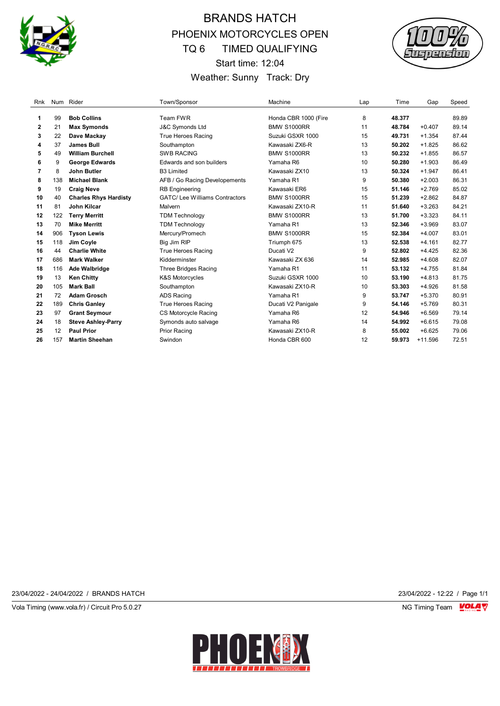

# BRANDS HATCH PHOENIX MOTORCYCLES OPEN TQ 6 TIMED QUALIFYING Start time: 12:04 Weather: Sunny Track: Dry



| Rnk |     | Num Rider                    | Town/Sponsor                         | Machine              | Lap | Time   | Gap       | Speed |
|-----|-----|------------------------------|--------------------------------------|----------------------|-----|--------|-----------|-------|
| 1   | 99  | <b>Bob Collins</b>           | Team FWR                             | Honda CBR 1000 (Fire | 8   | 48.377 |           | 89.89 |
| 2   | 21  | <b>Max Symonds</b>           | <b>J&amp;C Symonds Ltd</b>           | <b>BMW S1000RR</b>   | 11  | 48.784 | $+0.407$  | 89.14 |
| 3   | 22  | Dave Mackay                  | True Heroes Racing                   | Suzuki GSXR 1000     | 15  | 49.731 | $+1.354$  | 87.44 |
| 4   | 37  | <b>James Bull</b>            | Southampton                          | Kawasaki ZX6-R       | 13  | 50.202 | $+1.825$  | 86.62 |
| 5   | 49  | <b>William Burchell</b>      | <b>SWB RACING</b>                    | <b>BMW S1000RR</b>   | 13  | 50.232 | $+1.855$  | 86.57 |
| 6   | 9   | <b>George Edwards</b>        | Edwards and son builders             | Yamaha R6            | 10  | 50.280 | $+1.903$  | 86.49 |
| 7   | 8   | <b>John Butler</b>           | <b>B3 Limited</b>                    | Kawasaki ZX10        | 13  | 50.324 | $+1.947$  | 86.41 |
| 8   | 138 | <b>Michael Blank</b>         | AFB / Go Racing Developements        | Yamaha R1            | 9   | 50.380 | $+2.003$  | 86.31 |
| 9   | 19  | <b>Craig Neve</b>            | <b>RB</b> Engineering                | Kawasaki ER6         | 15  | 51.146 | $+2.769$  | 85.02 |
| 10  | 40  | <b>Charles Rhys Hardisty</b> | <b>GATC/Lee Williams Contractors</b> | <b>BMW S1000RR</b>   | 15  | 51.239 | $+2.862$  | 84.87 |
| 11  | 81  | John Kilcar                  | Malvern                              | Kawasaki ZX10-R      | 11  | 51.640 | $+3.263$  | 84.21 |
| 12  | 122 | <b>Terry Merritt</b>         | <b>TDM Technology</b>                | <b>BMW S1000RR</b>   | 13  | 51.700 | $+3.323$  | 84.11 |
| 13  | 70  | <b>Mike Merritt</b>          | <b>TDM Technology</b>                | Yamaha R1            | 13  | 52.346 | $+3.969$  | 83.07 |
| 14  | 906 | <b>Tyson Lewis</b>           | Mercury/Promech                      | <b>BMW S1000RR</b>   | 15  | 52.384 | $+4.007$  | 83.01 |
| 15  | 118 | Jim Coyle                    | Big Jim RIP                          | Triumph 675          | 13  | 52.538 | $+4.161$  | 82.77 |
| 16  | 44  | <b>Charlie White</b>         | True Heroes Racing                   | Ducati V2            | 9   | 52.802 | $+4.425$  | 82.36 |
| 17  | 686 | <b>Mark Walker</b>           | Kidderminster                        | Kawasaki ZX 636      | 14  | 52.985 | $+4.608$  | 82.07 |
| 18  | 116 | <b>Ade Walbridge</b>         | <b>Three Bridges Racing</b>          | Yamaha R1            | 11  | 53.132 | $+4.755$  | 81.84 |
| 19  | 13  | <b>Ken Chitty</b>            | <b>K&amp;S Motorcycles</b>           | Suzuki GSXR 1000     | 10  | 53.190 | $+4.813$  | 81.75 |
| 20  | 105 | <b>Mark Ball</b>             | Southampton                          | Kawasaki ZX10-R      | 10  | 53.303 | $+4.926$  | 81.58 |
| 21  | 72  | <b>Adam Grosch</b>           | <b>ADS Racing</b>                    | Yamaha R1            | 9   | 53.747 | $+5.370$  | 80.91 |
| 22  | 189 | <b>Chris Ganley</b>          | True Heroes Racing                   | Ducati V2 Panigale   | 9   | 54.146 | $+5.769$  | 80.31 |
| 23  | 97  | <b>Grant Seymour</b>         | CS Motorcycle Racing                 | Yamaha R6            | 12  | 54.946 | $+6.569$  | 79.14 |
| 24  | 18  | <b>Steve Ashley-Parry</b>    | Symonds auto salvage                 | Yamaha R6            | 14  | 54.992 | $+6.615$  | 79.08 |
| 25  | 12  | <b>Paul Prior</b>            | <b>Prior Racing</b>                  | Kawasaki ZX10-R      | 8   | 55.002 | $+6.625$  | 79.06 |
| 26  | 157 | <b>Martin Sheehan</b>        | Swindon                              | Honda CBR 600        | 12  | 59.973 | $+11.596$ | 72.51 |

23/04/2022 - 24/04/2022 / BRANDS HATCH 23/04/2022 - 12:22 / Page 1/1

Vola Timing (www.vola.fr) / Circuit Pro 5.0.27 NG Timing Team VOLA V

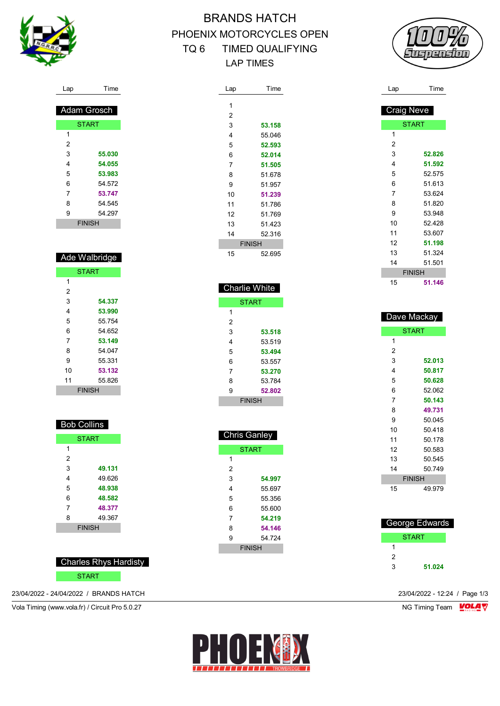

# BRANDS HATCH PHOENIX MOTORCYCLES OPEN TQ 6 TIMED QUALIFYING LAP TIMES

Lap Time

 **53.158** 55.046 **52.593 52.014 51.505** 51.678 51.957 **51.239** 51.786 51.769 51.423 52.316 FINISH 52.695

 Charlie White START

> **53.518** 53.519 **53.494** 53.557 **53.270** 53.784 **52.802** FINISH

 Chris Ganley **START** 

> **54.997** 55.697 55.356 55.600 **54.219 54.146** 54.724 FINISH

 $\overline{1}$ 

 

 



| Ade Walbridge |               |  |  |
|---------------|---------------|--|--|
|               | START         |  |  |
| 1             |               |  |  |
| 2             |               |  |  |
| 3             | 54.337        |  |  |
| 4             | 53.990        |  |  |
| 5             | 55 754        |  |  |
| 6             | 54.652        |  |  |
| 7             | 53.149        |  |  |
| 8             | 54 047        |  |  |
| 9             | 55.331        |  |  |
| 10            | 53.132        |  |  |
| 11            | 55.826        |  |  |
|               | <b>FINISH</b> |  |  |

Lap Time

 Adam Grosch **START** 

 **55.030 54.055 53.983** 54.572 **53.747** 54.545 54.297 FINISH

  $\overline{2}$ 

| <b>Bob Collins</b> |               |  |  |
|--------------------|---------------|--|--|
|                    | <b>START</b>  |  |  |
| 1                  |               |  |  |
| 2                  |               |  |  |
| 3                  | 49.131        |  |  |
| 4                  | 49.626        |  |  |
| 5                  | 48.938        |  |  |
| 6                  | 48.582        |  |  |
| 7                  | 48.377        |  |  |
| 8                  | 49.367        |  |  |
|                    | <b>FINISH</b> |  |  |

Charles Rhys Hardisty

#### START

23/04/2022 - 24/04/2022 / BRANDS HATCH 23/04/2022 - 12:24 / Page 1/3



| Lap               | Time          |
|-------------------|---------------|
|                   |               |
| <b>Craig Neve</b> |               |
|                   | <b>START</b>  |
| 1                 |               |
| 2                 |               |
| 3                 | 52.826        |
| 4                 | 51.592        |
| 5                 | 52.575        |
| 6                 | 51.613        |
| 7                 | 53.624        |
| 8                 | 51.820        |
| 9                 | 53.948        |
| 10                | 52.428        |
| 11                | 53.607        |
| 12                | 51.198        |
| 13                | 51.324        |
| 14                | 51.501        |
|                   | <b>FINISH</b> |
| 15                | 51.146        |

| Dave Mackay |               |  |  |  |  |  |
|-------------|---------------|--|--|--|--|--|
|             | <b>START</b>  |  |  |  |  |  |
| 1           |               |  |  |  |  |  |
| 2           |               |  |  |  |  |  |
| 3           | 52.013        |  |  |  |  |  |
| 4           | 50.817        |  |  |  |  |  |
| 5           | 50.628        |  |  |  |  |  |
| 6           | 52.062        |  |  |  |  |  |
| 7           | 50.143        |  |  |  |  |  |
| 8           | 49.731        |  |  |  |  |  |
| 9           | 50.045        |  |  |  |  |  |
| 10          | 50418         |  |  |  |  |  |
| 11          | 50 178        |  |  |  |  |  |
| 12          | 50.583        |  |  |  |  |  |
| 13          | 50.545        |  |  |  |  |  |
| 14          | 50.749        |  |  |  |  |  |
|             | <b>FINISH</b> |  |  |  |  |  |
| 15          | 49 979        |  |  |  |  |  |
|             |               |  |  |  |  |  |

| George Edwards |  |  |
|----------------|--|--|
| START          |  |  |
|                |  |  |
| 2              |  |  |
| ર<br>51.024    |  |  |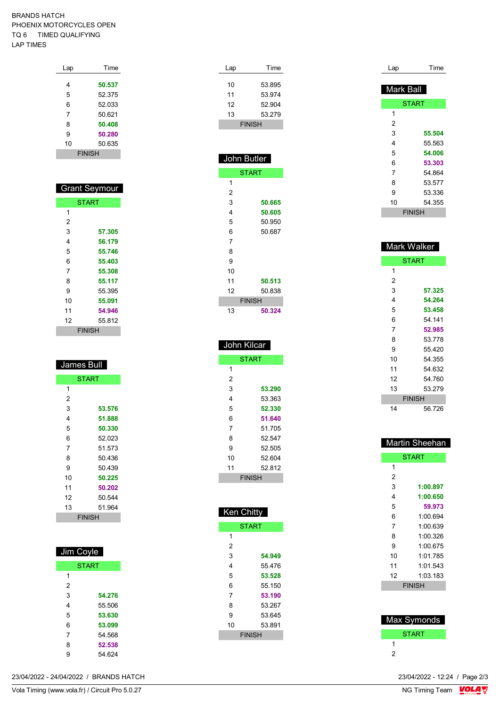#### BRANDS HATCH PHOENIX MOTORCYCLES OPEN TQ 6 TIMED QUALIFYING LAP TIMES

| Lap           | Time   |  |  |
|---------------|--------|--|--|
|               |        |  |  |
| 4             | 50.537 |  |  |
| 5             | 52.375 |  |  |
| 6             | 52.033 |  |  |
| 7             | 50.621 |  |  |
| 8             | 50.408 |  |  |
| 9             | 50.280 |  |  |
| 10            | 50.635 |  |  |
| <b>FINISH</b> |        |  |  |

| <b>Grant Seymour</b> |              |  |  |
|----------------------|--------------|--|--|
|                      | <b>START</b> |  |  |
| 1                    |              |  |  |
| 2                    |              |  |  |
| 3                    | 57.305       |  |  |
| 4                    | 56.179       |  |  |
| 5                    | 55.746       |  |  |
| 6                    | 55.403       |  |  |
| 7                    | 55.308       |  |  |
| 8                    | 55.117       |  |  |
| 9                    | 55.395       |  |  |
| 10                   | 55.091       |  |  |
| 11                   | 54.946       |  |  |
| 12                   | 55 812       |  |  |
| FINISH               |              |  |  |

| <b>James Bull</b> |              |  |  |
|-------------------|--------------|--|--|
|                   | <b>START</b> |  |  |
| 1                 |              |  |  |
| 2                 |              |  |  |
| 3                 | 53.576       |  |  |
| 4                 | 51.888       |  |  |
| 5                 | 50.330       |  |  |
| 6                 | 52.023       |  |  |
| 7                 | 51.573       |  |  |
| 8                 | 50.436       |  |  |
| 9                 | 50.439       |  |  |
| 10                | 50.225       |  |  |
| 11                | 50.202       |  |  |
| 12                | 50.544       |  |  |
| 13                | 51.964       |  |  |
| <b>FINISH</b>     |              |  |  |

| Jim Coyle    |        |  |  |  |  |
|--------------|--------|--|--|--|--|
| <b>START</b> |        |  |  |  |  |
| 1            |        |  |  |  |  |
| 2            |        |  |  |  |  |
| 3            | 54.276 |  |  |  |  |
| 4            | 55 506 |  |  |  |  |
| 5            | 53.630 |  |  |  |  |
| 6            | 53.099 |  |  |  |  |
| 7            | 54 568 |  |  |  |  |
| 8            | 52.538 |  |  |  |  |
| 9            | 54 624 |  |  |  |  |

|                                        | ◡┬.◡८┬ |                               |
|----------------------------------------|--------|-------------------------------|
| 23/04/2022 - 24/04/2022 / BRANDS HATCH |        | 23/04/2022 - 12:24 / Page 2/3 |

| 3              | 50.665           |
|----------------|------------------|
| 4              | 50.605           |
| 5              | 50.950           |
| 6              | 50.687           |
| 7              |                  |
| 8              |                  |
| 9              |                  |
| 10             |                  |
| 11             | 50.513           |
| 12             | 50.838           |
| <b>FINISH</b>  |                  |
| 13             | 50.324           |
|                |                  |
| John Kilcar    |                  |
| <b>START</b>   |                  |
| 1              |                  |
| $\overline{c}$ |                  |
| 3              | 53.290           |
| 4              | 53.363           |
| 5              | 52.330           |
| 6<br>7         | 51.640           |
| 8              | 51.705<br>52.547 |
| 9              | 52.505           |
| 10             | 52.604           |
| 11             | 52.812           |
| <b>FINISH</b>  |                  |
|                |                  |
|                |                  |
| Ken Chitty     |                  |
| <b>START</b>   |                  |
| 1              |                  |
| 2              |                  |
| 3              | 54.949           |
| 4              | 55.476           |
| 5              | 53.528           |
| 6<br>7         | 55.150<br>53.190 |
| 8              | 53.267           |
| 9              | 53.645           |
| 10             | 53.891           |
| <b>FINISH</b>  |                  |
|                |                  |

Lap Time 53.895 53.974 52.904 53.279 FINISH

 John Butler START

 

| Time          |
|---------------|
| Mark Ball     |
| <b>START</b>  |
|               |
|               |
| 55.504        |
| 55.563        |
| 54.006        |
| 53.303        |
| 54.864        |
| 53.577        |
| 53.336        |
| 54.355        |
| <b>FINISH</b> |
|               |
|               |

| Mark Walker   |        |  |
|---------------|--------|--|
| <b>START</b>  |        |  |
| 1             |        |  |
| 2             |        |  |
| 3             | 57.325 |  |
| 4             | 54.264 |  |
| 5             | 53.458 |  |
| 6             | 54.141 |  |
| 7             | 52.985 |  |
| 8             | 53.778 |  |
| 9             | 55.420 |  |
| 10            | 54.355 |  |
| 11            | 54.632 |  |
| 12            | 54.760 |  |
| 13            | 53.279 |  |
| <b>FINISH</b> |        |  |
| 14            | 56.726 |  |

| Martin Sheehan |              |
|----------------|--------------|
|                | <b>START</b> |
| 1              |              |
| 2              |              |
| 3              | 1:00.897     |
| 4              | 1:00.650     |
| 5              | 59.973       |
| 6              | 1:00.694     |
| 7              | 1:00.639     |
| 8              | 1:00.326     |
| 9              | 1:00.675     |
| 10             | 1:01.785     |
| 11             | 1:01.543     |
| 12             | 1:03.183     |
| <b>FINISH</b>  |              |
|                |              |
|                |              |
| Max Symonds    |              |
| <b>START</b>   |              |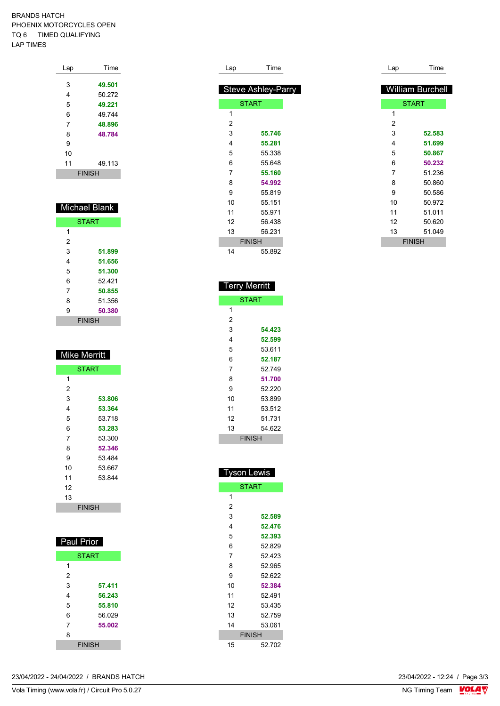#### BRANDS HATCH PHOENIX MOTORCYCLES OPEN TQ 6 TIMED QUALIFYING LAP TIMES

| Lap           | Time   |
|---------------|--------|
|               |        |
| 3             | 49.501 |
| 4             | 50.272 |
| 5             | 49.221 |
| 6             | 49744  |
| 7             | 48.896 |
| 8             | 48.784 |
| 9             |        |
| 10            |        |
| 11            | 49.113 |
| <b>FINISH</b> |        |

## Michael Blank

| <b>START</b>  |        |  |
|---------------|--------|--|
| 1             |        |  |
| 2             |        |  |
| 3             | 51.899 |  |
| 4             | 51.656 |  |
| 5             | 51.300 |  |
| 6             | 52421  |  |
| 7             | 50.855 |  |
| 8             | 51 356 |  |
| 9             | 50.380 |  |
| <b>FINISH</b> |        |  |

| <b>Mike Merritt</b> |        |  |
|---------------------|--------|--|
| START               |        |  |
| 1                   |        |  |
| 2                   |        |  |
| 3                   | 53.806 |  |
| 4                   | 53.364 |  |
| 5                   | 53.718 |  |
| 6                   | 53.283 |  |
| 7                   | 53.300 |  |
| 8                   | 52.346 |  |
| 9                   | 53.484 |  |
| 10                  | 53.667 |  |
| 11                  | 53844  |  |
| 12                  |        |  |
| 13                  |        |  |
| <b>FINISH</b>       |        |  |

| Paul Prior    |        |  |
|---------------|--------|--|
| <b>START</b>  |        |  |
| 1             |        |  |
| 2             |        |  |
| 3             | 57.411 |  |
| 4             | 56.243 |  |
| 5             | 55.810 |  |
| 6             | 56.029 |  |
| 7             | 55.002 |  |
| 8             |        |  |
| <b>FINISH</b> |        |  |

| Lap            | Time                      |
|----------------|---------------------------|
|                |                           |
|                | <b>Steve Ashley-Parry</b> |
|                | <b>START</b>              |
| 1              |                           |
| 2              |                           |
| 3              | 55.746                    |
| 4              | 55.281                    |
| 5              | 55.338                    |
| 6              | 55.648                    |
| $\overline{7}$ | 55.160                    |
| 8              | 54.992                    |
| 9              | 55819                     |
| 10             | 55.151                    |
| 11             | 55.971                    |
| 12             | 56.438                    |
| 13             | 56.231                    |
|                | <b>FINISH</b>             |
| 14             | 55 892                    |

| Lap | Time                    |
|-----|-------------------------|
|     | <b>William Burchell</b> |
|     | <b>START</b>            |
| 1   |                         |
| 2   |                         |
| 3   | 52.583                  |
| 4   | 51.699                  |
| 5   | 50.867                  |
| 6   | 50.232                  |
| 7   | 51.236                  |
| 8   | 50.860                  |
| 9   | 50.586                  |
| 10  | 50.972                  |
| 11  | 51.011                  |
| 12  | 50.620                  |
| 13  | 51.049                  |
|     | <b>FINISH</b>           |

| Terry Merritt |        |  |
|---------------|--------|--|
| <b>START</b>  |        |  |
| 1             |        |  |
| 2             |        |  |
| 3             | 54.423 |  |
| 4             | 52.599 |  |
| 5             | 53.611 |  |
| 6             | 52.187 |  |
| 7             | 52.749 |  |
| 8             | 51.700 |  |
| 9             | 52.220 |  |
| 10            | 53.899 |  |
| 11            | 53.512 |  |
| 12            | 51.731 |  |
| 13            | 54.622 |  |
| <b>FINISH</b> |        |  |

| Tyson Lewis   |        |  |
|---------------|--------|--|
| <b>START</b>  |        |  |
| 1             |        |  |
| 2             |        |  |
| 3             | 52.589 |  |
| 4             | 52.476 |  |
| 5             | 52.393 |  |
| 6             | 52.829 |  |
| 7             | 52.423 |  |
| 8             | 52.965 |  |
| 9             | 52.622 |  |
| 10            | 52.384 |  |
| 11            | 52.491 |  |
| 12            | 53.435 |  |
| 13            | 52.759 |  |
| 14            | 53.061 |  |
| <b>FINISH</b> |        |  |
| 15            | 52.702 |  |

23/04/2022 - 24/04/2022 / BRANDS HATCH

Vola Timing (www.vola.fr) / Circuit Pro 5.0.27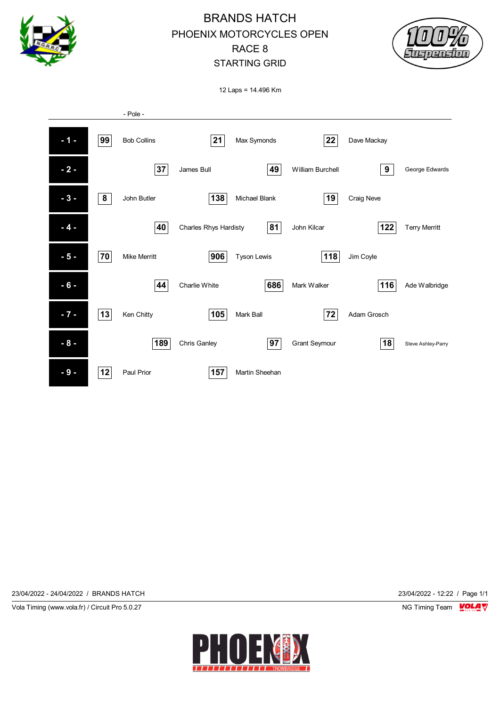



12 Laps = 14.496 Km



23/04/2022 - 24/04/2022 / BRANDS HATCH 23/04/2022 - 12:22 / Page 1/1

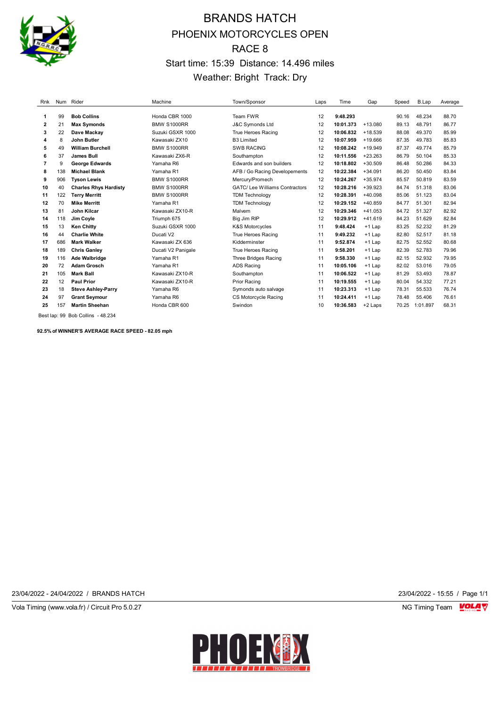

# BRANDS HATCH PHOENIX MOTORCYCLES OPEN RACE 8 Start time: 15:39 Distance: 14.496 miles Weather: Bright Track: Dry

| Rnk          |     | Num Rider                    | Machine            | Town/Sponsor                         | Laps | Time      | Gap       | Speed | B.Lap    | Average |
|--------------|-----|------------------------------|--------------------|--------------------------------------|------|-----------|-----------|-------|----------|---------|
|              |     |                              |                    |                                      |      |           |           |       |          |         |
| 1            | 99  | <b>Bob Collins</b>           | Honda CBR 1000     | Team FWR                             | 12   | 9:48.293  |           | 90.16 | 48.234   | 88.70   |
| $\mathbf{2}$ | 21  | <b>Max Symonds</b>           | <b>BMW S1000RR</b> | J&C Symonds Ltd                      | 12   | 10:01.373 | $+13.080$ | 89.13 | 48.791   | 86.77   |
| 3            | 22  | Dave Mackay                  | Suzuki GSXR 1000   | True Heroes Racing                   | 12   | 10:06.832 | $+18.539$ | 88.08 | 49.370   | 85.99   |
| 4            | 8   | John Butler                  | Kawasaki ZX10      | <b>B3 Limited</b>                    | 12   | 10:07.959 | $+19.666$ | 87.35 | 49.783   | 85.83   |
| 5            | 49  | <b>William Burchell</b>      | <b>BMW S1000RR</b> | <b>SWB RACING</b>                    | 12   | 10:08.242 | $+19.949$ | 87.37 | 49.774   | 85.79   |
| 6            | 37  | James Bull                   | Kawasaki ZX6-R     | Southampton                          | 12   | 10:11.556 | $+23.263$ | 86.79 | 50.104   | 85.33   |
| 7            | 9   | <b>George Edwards</b>        | Yamaha R6          | Edwards and son builders             | 12   | 10:18.802 | $+30.509$ | 86.48 | 50.286   | 84.33   |
| 8            | 138 | <b>Michael Blank</b>         | Yamaha R1          | AFB / Go Racing Developements        | 12   | 10:22.384 | $+34.091$ | 86.20 | 50.450   | 83.84   |
| 9            | 906 | <b>Tyson Lewis</b>           | <b>BMW S1000RR</b> | Mercury/Promech                      | 12   | 10:24.267 | $+35.974$ | 85.57 | 50.819   | 83.59   |
| 10           | 40  | <b>Charles Rhys Hardisty</b> | <b>BMW S1000RR</b> | <b>GATC/Lee Williams Contractors</b> | 12   | 10:28.216 | $+39.923$ | 84.74 | 51.318   | 83.06   |
| 11           | 122 | <b>Terry Merritt</b>         | <b>BMW S1000RR</b> | <b>TDM Technology</b>                | 12   | 10:28.391 | $+40.098$ | 85.06 | 51.123   | 83.04   |
| 12           | 70  | <b>Mike Merritt</b>          | Yamaha R1          | <b>TDM Technology</b>                | 12   | 10:29.152 | $+40.859$ | 84.77 | 51.301   | 82.94   |
| 13           | 81  | <b>John Kilcar</b>           | Kawasaki ZX10-R    | Malvern                              | 12   | 10:29.346 | $+41.053$ | 84.72 | 51.327   | 82.92   |
| 14           | 118 | Jim Coyle                    | Triumph 675        | Big Jim RIP                          | 12   | 10:29.912 | $+41.619$ | 84.23 | 51.629   | 82.84   |
| 15           | 13  | <b>Ken Chitty</b>            | Suzuki GSXR 1000   | K&S Motorcycles                      | 11   | 9:48.424  | $+1$ Lap  | 83.25 | 52.232   | 81.29   |
| 16           | 44  | <b>Charlie White</b>         | Ducati V2          | True Heroes Racing                   | 11   | 9:49.232  | $+1$ Lap  | 82.80 | 52.517   | 81.18   |
| 17           | 686 | <b>Mark Walker</b>           | Kawasaki ZX 636    | Kidderminster                        | 11   | 9:52.874  | $+1$ Lap  | 82.75 | 52.552   | 80.68   |
| 18           | 189 | <b>Chris Ganley</b>          | Ducati V2 Panigale | True Heroes Racing                   | 11   | 9:58.201  | $+1$ Lap  | 82.39 | 52.783   | 79.96   |
| 19           | 116 | <b>Ade Walbridge</b>         | Yamaha R1          | Three Bridges Racing                 | 11   | 9:58.330  | $+1$ Lap  | 82.15 | 52.932   | 79.95   |
| 20           | 72  | <b>Adam Grosch</b>           | Yamaha R1          | <b>ADS Racing</b>                    | 11   | 10:05.106 | $+1$ Lap  | 82.02 | 53.016   | 79.05   |
| 21           | 105 | <b>Mark Ball</b>             | Kawasaki ZX10-R    | Southampton                          | 11   | 10:06.522 | $+1$ Lap  | 81.29 | 53.493   | 78.87   |
| 22           | 12  | <b>Paul Prior</b>            | Kawasaki ZX10-R    | <b>Prior Racing</b>                  | 11   | 10:19.555 | $+1$ Lap  | 80.04 | 54.332   | 77.21   |
| 23           | 18  | <b>Steve Ashley-Parry</b>    | Yamaha R6          | Symonds auto salvage                 | 11   | 10:23.313 | $+1$ Lap  | 78.31 | 55.533   | 76.74   |
| 24           | 97  | <b>Grant Seymour</b>         | Yamaha R6          | <b>CS Motorcycle Racing</b>          | 11   | 10:24.411 | $+1$ Lap  | 78.48 | 55.406   | 76.61   |
| 25           | 157 | <b>Martin Sheehan</b>        | Honda CBR 600      | Swindon                              | 10   | 10:36.583 | +2 Laps   | 70.25 | 1:01.897 | 68.31   |
|              |     |                              |                    |                                      |      |           |           |       |          |         |

Best lap: 99 Bob Collins - 48.234

**92.5% of WINNER'S AVERAGE RACE SPEED - 82.05 mph**

23/04/2022 - 24/04/2022 / BRANDS HATCH 23/04/2022 - 15:55 / Page 1/1

Vola Timing (www.vola.fr) / Circuit Pro 5.0.27 **NG Timing Team MOLA View Area** NG Timing Team MOLA View Area NG Timing Team MOLA View Area NG Timing Team MOLA View Area NG Timing Team MOLA View Area NG Timing Team MOLA Vie

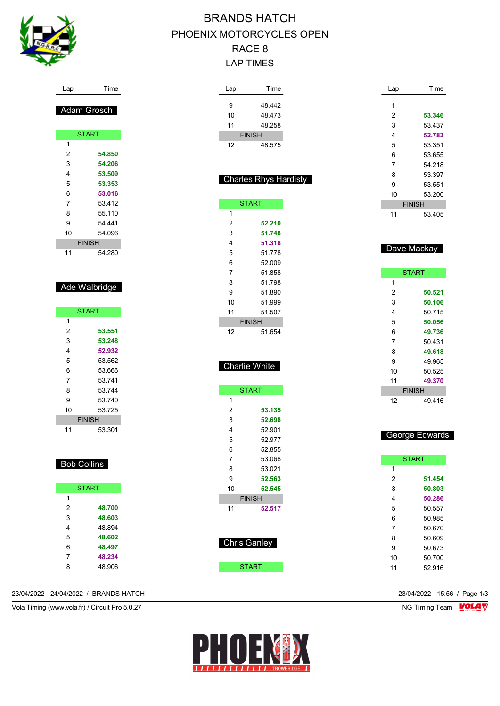

#### Lap Time

## Adam Grosch

| <b>START</b> |               |  |  |
|--------------|---------------|--|--|
| 1            |               |  |  |
| 2            | 54.850        |  |  |
| 3            | 54.206        |  |  |
| 4            | 53.509        |  |  |
| 5            | 53.353        |  |  |
| 6            | 53.016        |  |  |
| 7            | 53 412        |  |  |
| 8            | 55 110        |  |  |
| 9            | 54 441        |  |  |
| 10           | 54.096        |  |  |
|              | <b>FINISH</b> |  |  |
| 11           | 54.280        |  |  |

### Ade Walbridge

|    | <b>START</b>  |
|----|---------------|
| 1  |               |
| 2  | 53.551        |
| 3  | 53.248        |
| 4  | 52.932        |
| 5  | 53 562        |
| 6  | 53 666        |
| 7  | 53 741        |
| 8  | 53 744        |
| 9  | 53 740        |
| 10 | 53 725        |
|    | <b>FINISH</b> |
| 11 | 53.301        |

### Bob Collins

|   | <b>START</b> |
|---|--------------|
| 1 |              |
| 2 | 48.700       |
| 3 | 48.603       |
| 4 | 48.894       |
| 5 | 48.602       |
| 6 | 48.497       |
| 7 | 48.234       |
| ጸ | 48.906       |

#### 23/04/2022 - 24/04/2022 / BRANDS HATCH 23/04/2022 - 15:56 / Page 1/3

Vola Timing (www.vola.fr) / Circuit Pro 5.0.27 NG Timing Team VOLA V

# BRANDS HATCH PHOENIX MOTORCYCLES OPEN RACE 8 LAP TIMES

| Lap            | Time                         |  |
|----------------|------------------------------|--|
| 9              | 48.442                       |  |
| 10             | 48.473                       |  |
| 11             | 48.258                       |  |
|                | <b>FINISH</b>                |  |
| 12             | 48.575                       |  |
|                |                              |  |
|                |                              |  |
|                | <b>Charles Rhys Hardisty</b> |  |
|                |                              |  |
|                | <b>START</b>                 |  |
| 1              |                              |  |
| $\overline{2}$ | 52.210                       |  |
| 3              | 51.748                       |  |
| 4              | 51.318                       |  |
| 5              | 51.778                       |  |
| 6              | 52.009                       |  |
| $\overline{7}$ | 51.858                       |  |
| 8              | 51.798                       |  |
| 9<br>10        | 51.890<br>51.999             |  |
| 11             | 51.507                       |  |
|                | <b>FINISH</b>                |  |
| 12             | 51.654                       |  |
|                |                              |  |
|                |                              |  |
|                | Charlie White                |  |
|                |                              |  |
|                | <b>START</b>                 |  |
| 1              |                              |  |
| 2              | 53.135                       |  |
| 3              | 52.698                       |  |
| 4              | 52.901                       |  |
| 5              | 52.977                       |  |
| 6              | 52.855                       |  |
| 7<br>8         | 53.068<br>53.021             |  |
| 9              | 52.563                       |  |
| 10             | 52.545                       |  |
|                | <b>FINISH</b>                |  |
| 11             | 52.517                       |  |
|                |                              |  |
|                |                              |  |
|                | <b>Chris Ganley</b>          |  |
|                |                              |  |
|                | <b>START</b>                 |  |

| Lap | Time          |
|-----|---------------|
| 1   |               |
| 2   | 53.346        |
| 3   | 53.437        |
| 4   | 52.783        |
| 5   | 53.351        |
| 6   | 53.655        |
| 7   | 54 218        |
| 8   | 53.397        |
| 9   | 53.551        |
| 10  | 53.200        |
|     | <b>FINISH</b> |
| 11  | 53.405        |

### Dave Mackay

|    | <b>START</b>  |
|----|---------------|
| 1  |               |
| 2  | 50.521        |
| 3  | 50.106        |
| 4  | 50.715        |
| 5  | 50.056        |
| 6  | 49.736        |
| 7  | 50.431        |
| 8  | 49.618        |
| 9  | 49.965        |
| 10 | 50.525        |
| 11 | 49.370        |
|    | <b>FINISH</b> |
| 12 | 49.416        |

### George Edwards

|                | <b>START</b> |
|----------------|--------------|
| 1              |              |
| 2              | 51.454       |
| 3              | 50.803       |
| 4              | 50.286       |
| 5              | 50 557       |
| 6              | 50.985       |
| $\overline{7}$ | 50.670       |
| 8              | 50.609       |
| 9              | 50.673       |
| 10             | 50.700       |
| 11             | 52916        |
|                |              |

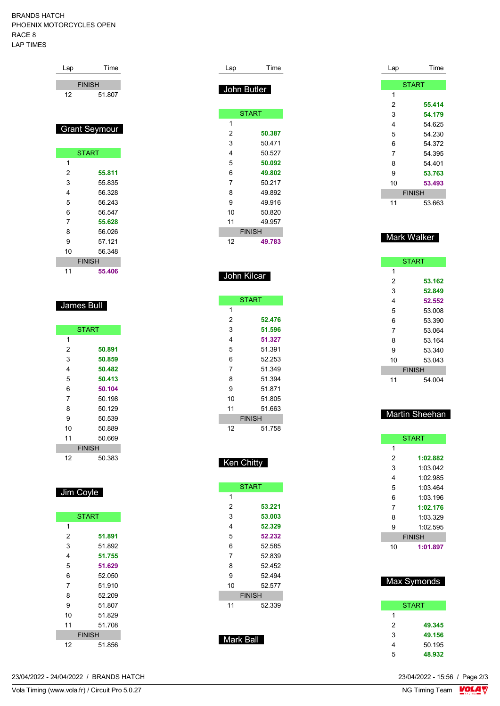BRANDS HATCH PHOENIX MOTORCYCLES OPEN RACE 8 LAP TIMES

| Lap | Time                 |
|-----|----------------------|
|     | <b>FINISH</b>        |
| 12  | 51807                |
|     |                      |
|     |                      |
|     | <b>Grant Seymour</b> |

|               | <b>START</b> |  |
|---------------|--------------|--|
| 1             |              |  |
| 2             | 55.811       |  |
| 3             | 55 835       |  |
| 4             | 56.328       |  |
| 5             | 56.243       |  |
| 6             | 56.547       |  |
| 7             | 55.628       |  |
| 8             | 56.026       |  |
| 9             | 57 121       |  |
| 10            | 56.348       |  |
| <b>FINISH</b> |              |  |
| 11            | 55.406       |  |

### James Bull

| <b>START</b> |               |  |  |
|--------------|---------------|--|--|
| 1            |               |  |  |
| 2            | 50.891        |  |  |
| 3            | 50.859        |  |  |
| 4            | 50.482        |  |  |
| 5            | 50.413        |  |  |
| 6            | 50.104        |  |  |
| 7            | 50.198        |  |  |
| 8            | 50.129        |  |  |
| 9            | 50.539        |  |  |
| 10           | 50.889        |  |  |
| 11           | 50.669        |  |  |
|              | <b>FINISH</b> |  |  |
| 12           | 50.383        |  |  |

## Jim Coyle

|    | <b>START</b>  |
|----|---------------|
| 1  |               |
| 2  | 51.891        |
| 3  | 51.892        |
| 4  | 51.755        |
| 5  | 51.629        |
| 6  | 52.050        |
| 7  | 51 910        |
| 8  | 52.209        |
| 9  | 51.807        |
| 10 | 51829         |
| 11 | 51 708        |
|    | <b>FINISH</b> |
| 12 | 51.856        |

| Lap            | Time         |  |
|----------------|--------------|--|
| John Butler    |              |  |
|                | <b>START</b> |  |
| 1              |              |  |
| 2              | 50.387       |  |
| 3              | 50.471       |  |
| 4              | 50.527       |  |
| 5              | 50.092       |  |
| 6              | 49.802       |  |
| $\overline{7}$ | 50.217       |  |
| 8              | 49.892       |  |
| 9              | 49 916       |  |
| 10             | 50.820       |  |
| 11             | 49.957       |  |
| <b>FINISH</b>  |              |  |
| 12             | 49.783       |  |
|                |              |  |
|                |              |  |
|                | . .          |  |

## John Kilcar

| <b>START</b>  |        |
|---------------|--------|
| 1             |        |
| 2             | 52.476 |
| 3             | 51.596 |
| 4             | 51.327 |
| 5             | 51.391 |
| 6             | 52.253 |
| 7             | 51 349 |
| 8             | 51.394 |
| 9             | 51.871 |
| 10            | 51.805 |
| 11            | 51.663 |
| <b>FINISH</b> |        |
| 12            | 51.758 |

### Ken Chitty

| <b>START</b>  |        |  |
|---------------|--------|--|
| 1             |        |  |
| 2             | 53.221 |  |
| 3             | 53.003 |  |
| 4             | 52.329 |  |
| 5             | 52.232 |  |
| 6             | 52.585 |  |
| 7             | 52.839 |  |
| 8             | 52.452 |  |
| 9             | 52.494 |  |
| 10            | 52.577 |  |
| <b>FINISH</b> |        |  |
| 11            | 52.339 |  |
|               |        |  |
|               |        |  |
|               |        |  |

Mark Ball

| Lap | Time          |
|-----|---------------|
|     |               |
|     | <b>START</b>  |
| 1   |               |
| 2   | 55.414        |
| 3   | 54.179        |
| 4   | 54.625        |
| 5   | 54.230        |
| 6   | 54.372        |
| 7   | 54.395        |
| 8   | 54.401        |
| 9   | 53.763        |
| 10  | 53.493        |
|     | <b>FINISH</b> |
| 11  | 53.663        |

### Mark Walker

| <b>START</b>  |        |  |
|---------------|--------|--|
| 1             |        |  |
| 2             | 53.162 |  |
| 3             | 52.849 |  |
| 4             | 52.552 |  |
| 5             | 53.008 |  |
| 6             | 53 390 |  |
| 7             | 53.064 |  |
| 8             | 53.164 |  |
| 9             | 53.340 |  |
| 10            | 53.043 |  |
| <b>FINISH</b> |        |  |
| 11            | 54.004 |  |

### Martin Sheehan

| <b>START</b>  |  |  |
|---------------|--|--|
| 1             |  |  |
| 2<br>1:02.882 |  |  |
| 3<br>1:03.042 |  |  |
| 1:02.985<br>4 |  |  |
| 5<br>1:03 464 |  |  |
| 6<br>1:03 196 |  |  |
| 7<br>1:02.176 |  |  |
| 8<br>1:03.329 |  |  |
| 9<br>1:02.595 |  |  |
| <b>FINISH</b> |  |  |
|               |  |  |

## Max Symonds

| <b>START</b> |        |  |
|--------------|--------|--|
| 1            |        |  |
| 2            | 49.345 |  |
| 3            | 49.156 |  |
| 4            | 50.195 |  |
| 5            | 48.932 |  |

23/04/2022 - 24/04/2022 / BRANDS HATCH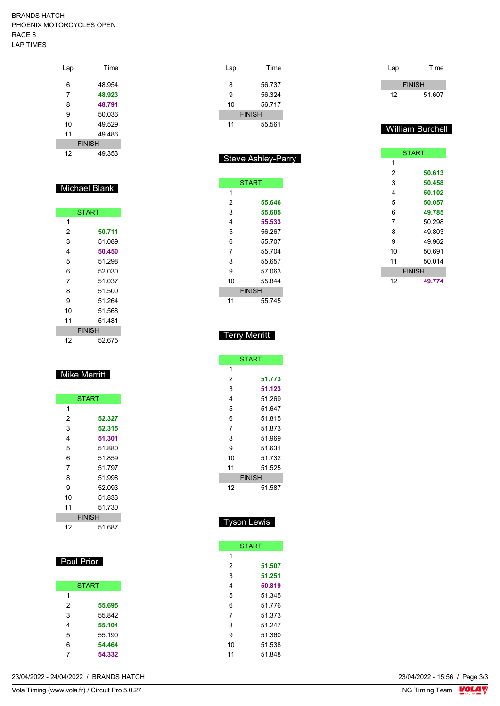#### BRANDS HATCH PHOENIX MOTORCYCLES OPEN RACE 8 LAP TIMES

| Lap           | Time   |  |
|---------------|--------|--|
|               |        |  |
| 6             | 48 954 |  |
| 7             | 48.923 |  |
| 8             | 48.791 |  |
| 9             | 50.036 |  |
| 10            | 49.529 |  |
| 11            | 49.486 |  |
| <b>FINISH</b> |        |  |
| 12            | 49 353 |  |

## Michael Blank

| <b>START</b>  |        |  |
|---------------|--------|--|
|               |        |  |
| 1             |        |  |
| 2             | 50.711 |  |
| 3             | 51.089 |  |
| 4             | 50.450 |  |
| 5             | 51.298 |  |
| 6             | 52.030 |  |
| 7             | 51.037 |  |
| 8             | 51.500 |  |
| 9             | 51.264 |  |
| 10            | 51.568 |  |
| 11            | 51 481 |  |
| <b>FINISH</b> |        |  |
| 12            | 52.675 |  |

## Mike Merritt

| <b>START</b>  |        |  |
|---------------|--------|--|
| 1             |        |  |
| 2             | 52.327 |  |
| 3             | 52.315 |  |
| 4             | 51.301 |  |
| 5             | 51.880 |  |
| 6             | 51.859 |  |
| 7             | 51 797 |  |
| 8             | 51.998 |  |
| 9             | 52.093 |  |
| 10            | 51833  |  |
| 11            | 51.730 |  |
| <b>FINISH</b> |        |  |
| 12            | 51.687 |  |

### **Paul Prior**

|   | <b>START</b> |
|---|--------------|
| 1 |              |
| 2 | 55.695       |
| 3 | 55.842       |
| 4 | 55.104       |
| 5 | 55.190       |
| 6 | 54.464       |
|   | 54.332       |

| Lap           | Time   |  |
|---------------|--------|--|
|               |        |  |
| 8             | 56.737 |  |
| 9             | 56.324 |  |
| 10            | 56 717 |  |
| <b>FINISH</b> |        |  |
| 11            | 55.561 |  |

|    | <b>Steve Ashley-Parry</b> |
|----|---------------------------|
|    |                           |
|    | <b>START</b>              |
| 1  |                           |
| 2  | 55.646                    |
| 3  | 55.605                    |
| 4  | 55.533                    |
| 5  | 56.267                    |
| 6  | 55.707                    |
| 7  | 55 704                    |
| 8  | 55.657                    |
| 9  | 57.063                    |
| 10 | 55 844                    |
|    | <b>FINISH</b>             |
| 11 | 55.745                    |

| Lap | Time          |
|-----|---------------|
|     |               |
|     | <b>FINISH</b> |
| 12  | 51.607        |

### William Burchell

| <b>START</b>  |        |  |  |  |  |  |  |  |  |
|---------------|--------|--|--|--|--|--|--|--|--|
| 1             |        |  |  |  |  |  |  |  |  |
| 2             | 50.613 |  |  |  |  |  |  |  |  |
| 3             | 50.458 |  |  |  |  |  |  |  |  |
| 4             | 50.102 |  |  |  |  |  |  |  |  |
| 5             | 50.057 |  |  |  |  |  |  |  |  |
| 6             | 49.785 |  |  |  |  |  |  |  |  |
| 7             | 50.298 |  |  |  |  |  |  |  |  |
| 8             | 49.803 |  |  |  |  |  |  |  |  |
| 9             | 49.962 |  |  |  |  |  |  |  |  |
| 10            | 50.691 |  |  |  |  |  |  |  |  |
| 11            | 50.014 |  |  |  |  |  |  |  |  |
| <b>FINISH</b> |        |  |  |  |  |  |  |  |  |
| 12            | 49.774 |  |  |  |  |  |  |  |  |

### Terry Merritt

|               | <b>START</b> |  |  |  |  |  |  |  |
|---------------|--------------|--|--|--|--|--|--|--|
| 1             |              |  |  |  |  |  |  |  |
| 2             | 51.773       |  |  |  |  |  |  |  |
| 3             | 51.123       |  |  |  |  |  |  |  |
| 4             | 51 269       |  |  |  |  |  |  |  |
| 5             | 51.647       |  |  |  |  |  |  |  |
| 6             | 51.815       |  |  |  |  |  |  |  |
| 7             | 51 873       |  |  |  |  |  |  |  |
| 8             | 51.969       |  |  |  |  |  |  |  |
| 9             | 51.631       |  |  |  |  |  |  |  |
| 10            | 51 732       |  |  |  |  |  |  |  |
| 11            | 51.525       |  |  |  |  |  |  |  |
| <b>FINISH</b> |              |  |  |  |  |  |  |  |
| 12            | 51.587       |  |  |  |  |  |  |  |

### Tyson Lewis

|    | <b>START</b> |
|----|--------------|
| 1  |              |
| 2  | 51.507       |
| 3  | 51.251       |
| 4  | 50.819       |
| 5  | 51.345       |
| 6  | 51 776       |
| 7  | 51 373       |
| 8  | 51 247       |
| 9  | 51.360       |
| 10 | 51.538       |
| 11 | 51.848       |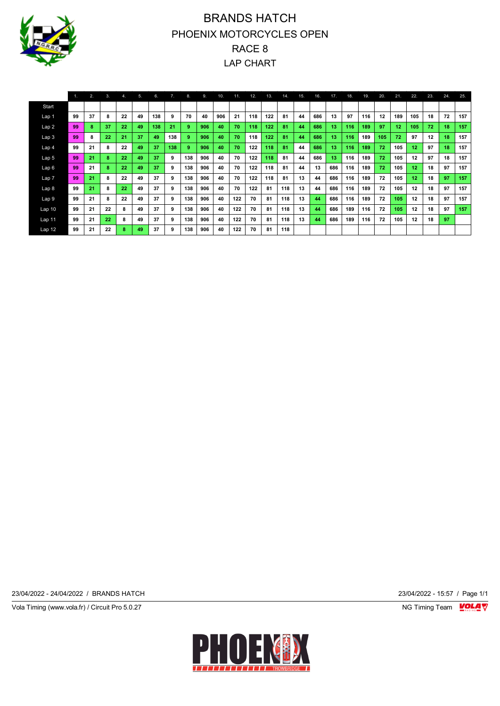

# BRANDS HATCH PHOENIX MOTORCYCLES OPEN RACE 8 LAP CHART

|                   |    | 2. | 3. | 4. | 5. | 6.  | 7.  | 8.  | 9.  | 10. | 11. | 12. | 13. | 14. | 15. | 16. | 17. | 18. | 19. | 20. | 21. | 22.              | 23. | 24. | 25. |
|-------------------|----|----|----|----|----|-----|-----|-----|-----|-----|-----|-----|-----|-----|-----|-----|-----|-----|-----|-----|-----|------------------|-----|-----|-----|
| Start             |    |    |    |    |    |     |     |     |     |     |     |     |     |     |     |     |     |     |     |     |     |                  |     |     |     |
| Lap 1             | 99 | 37 | 8  | 22 | 49 | 138 | 9   | 70  | 40  | 906 | 21  | 118 | 122 | 81  | 44  | 686 | 13  | 97  | 116 | 12  | 189 | 105              | 18  | 72  | 157 |
| Lap <sub>2</sub>  | 99 | 8  | 37 | 22 | 49 | 138 | 21  | 9   | 906 | 40  | 70  | 118 | 122 | 81  | 44  | 686 | 13  | 116 | 189 | 97  | 12  | 105              | 72  | 18  | 157 |
| Lap <sub>3</sub>  | 99 | 8  | 22 | 21 | 37 | 49  | 138 | 9   | 906 | 40  | 70  | 118 | 122 | 81  | 44  | 686 | 13  | 116 | 189 | 105 | 72  | 97               | 12  | 18  | 157 |
| Lap 4             | 99 | 21 | 8  | 22 | 49 | 37  | 138 | -9  | 906 | 40  | 70  | 122 | 118 | 81  | 44  | 686 | 13  | 116 | 189 | 72  | 105 | 12               | 97  | 18  | 157 |
| Lap 5             | 99 | 21 | 8  | 22 | 49 | 37  | 9   | 138 | 906 | 40  | 70  | 122 | 118 | 81  | 44  | 686 | 13  | 116 | 189 | 72  | 105 | 12               | 97  | 18  | 157 |
| Lap6              | 99 | 21 | 8  | 22 | 49 | 37  | 9   | 138 | 906 | 40  | 70  | 122 | 118 | 81  | 44  | 13  | 686 | 116 | 189 | 72  | 105 | 12               | 18  | 97  | 157 |
| Lap <sub>7</sub>  | 99 | 21 | 8  | 22 | 49 | 37  | 9   | 138 | 906 | 40  | 70  | 122 | 118 | 81  | 13  | 44  | 686 | 116 | 189 | 72  | 105 | 12 <sub>12</sub> | 18  | 97  | 157 |
| Lap <sub>8</sub>  | 99 | 21 | 8  | 22 | 49 | 37  | 9   | 138 | 906 | 40  | 70  | 122 | 81  | 118 | 13  | 44  | 686 | 116 | 189 | 72  | 105 | 12               | 18  | 97  | 157 |
| Lap 9             | 99 | 21 | 8  | 22 | 49 | 37  | 9   | 138 | 906 | 40  | 122 | 70  | 81  | 118 | 13  | 44  | 686 | 116 | 189 | 72  | 105 | 12               | 18  | 97  | 157 |
| Lap <sub>10</sub> | 99 | 21 | 22 | 8  | 49 | 37  | 9   | 138 | 906 | 40  | 122 | 70  | 81  | 118 | 13  | 44  | 686 | 189 | 116 | 72  | 105 | 12               | 18  | 97  | 157 |
| Lap 11            | 99 | 21 | 22 | 8  | 49 | 37  | 9   | 138 | 906 | 40  | 122 | 70  | 81  | 118 | 13  | 44  | 686 | 189 | 116 | 72  | 105 | 12               | 18  | 97  |     |
| Lap 12            | 99 | 21 | 22 | 8  | 49 | 37  | 9   | 138 | 906 | 40  | 122 | 70  | 81  | 118 |     |     |     |     |     |     |     |                  |     |     |     |

23/04/2022 - 24/04/2022 / BRANDS HATCH 23/04/2022 - 15:57 / Page 1/1

Vola Timing (www.vola.fr) / Circuit Pro 5.0.27 NG Timing Team VOLA V